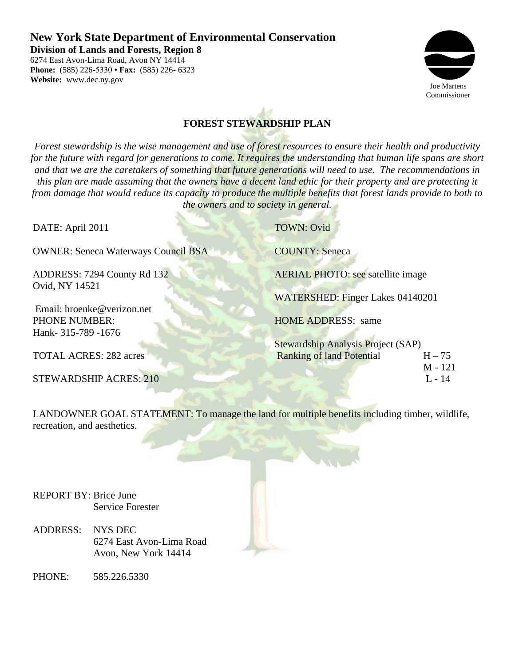# **New York State Department of Environmental Conservation**

 $\mathbb{R}$ 

**Division of Lands and Forests, Region 8**

6274 East Avon-Lima Road, Avon NY 14414 **Phone:** (585) 226-5330 • **Fax:** (585) 226- 6323 **Website:** www.dec.ny.gov



# **FOREST STEWARDSHIP PLAN**

*Forest stewardship is the wise management and use of forest resources to ensure their health and productivity for the future with regard for generations to come. It requires the understanding that human life spans are short and that we are the caretakers of something that future generations will need to use. The recommendations in this plan are made assuming that the owners have a decent land ethic for their property and are protecting it from damage that would reduce its capacity to produce the multiple benefits that forest lands provide to both to the owners and to society in general.*

| DATE: April 2011                                   | <b>TOWN: Ovid</b>                            |  |  |
|----------------------------------------------------|----------------------------------------------|--|--|
| <b>OWNER: Seneca Waterways Council BSA</b>         | <b>COUNTY: Seneca</b>                        |  |  |
| ADDRESS: 7294 County Rd 132                        | <b>AERIAL PHOTO: see satellite image</b>     |  |  |
| Ovid, NY 14521                                     | <b>WATERSHED: Finger Lakes 04140201</b>      |  |  |
| Email: hroenke@verizon.net<br><b>PHONE NUMBER:</b> | <b>HOME ADDRESS:</b> same                    |  |  |
| Hank- 315-789 -1676                                | <b>Stewardship Analysis Project (SAP)</b>    |  |  |
| <b>TOTAL ACRES: 282 acres</b>                      | <b>Ranking of land Potential</b><br>$H - 75$ |  |  |
| <b>STEWARDSHIP ACRES: 210</b>                      | $M - 121$<br>$L - 14$                        |  |  |

LANDOWNER GOAL STATEMENT: To manage the land for multiple benefits including timber, wildlife, recreation, and aesthetics.

REPORT BY: Brice June Service Forester

- ADDRESS: NYS DEC 6274 East Avon-Lima Road Avon, New York 14414
- PHONE: 585.226.5330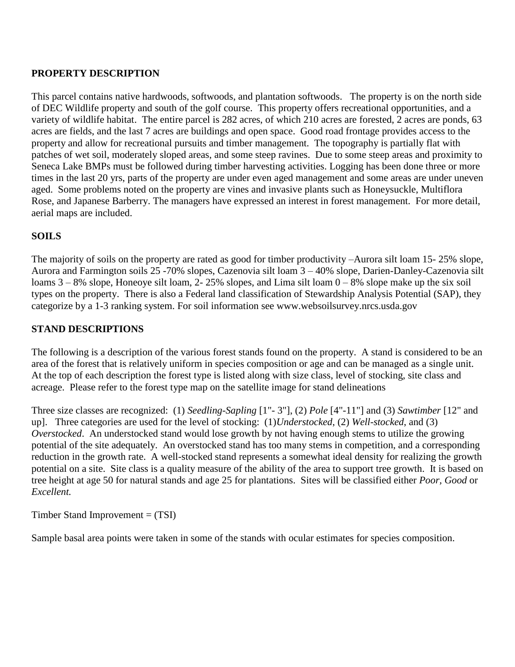# **PROPERTY DESCRIPTION**

This parcel contains native hardwoods, softwoods, and plantation softwoods. The property is on the north side of DEC Wildlife property and south of the golf course. This property offers recreational opportunities, and a variety of wildlife habitat. The entire parcel is 282 acres, of which 210 acres are forested, 2 acres are ponds, 63 acres are fields, and the last 7 acres are buildings and open space. Good road frontage provides access to the property and allow for recreational pursuits and timber management. The topography is partially flat with patches of wet soil, moderately sloped areas, and some steep ravines. Due to some steep areas and proximity to Seneca Lake BMPs must be followed during timber harvesting activities. Logging has been done three or more times in the last 20 yrs, parts of the property are under even aged management and some areas are under uneven aged. Some problems noted on the property are vines and invasive plants such as Honeysuckle, Multiflora Rose, and Japanese Barberry. The managers have expressed an interest in forest management. For more detail, aerial maps are included.

# **SOILS**

The majority of soils on the property are rated as good for timber productivity –Aurora silt loam 15- 25% slope, Aurora and Farmington soils 25 -70% slopes, Cazenovia silt loam 3 – 40% slope, Darien-Danley-Cazenovia silt loams  $3 - 8\%$  slope, Honeoye silt loam, 2-25% slopes, and Lima silt loam  $0 - 8\%$  slope make up the six soil types on the property. There is also a Federal land classification of Stewardship Analysis Potential (SAP), they categorize by a 1-3 ranking system. For soil information see www.websoilsurvey.nrcs.usda.gov

# **STAND DESCRIPTIONS**

The following is a description of the various forest stands found on the property. A stand is considered to be an area of the forest that is relatively uniform in species composition or age and can be managed as a single unit. At the top of each description the forest type is listed along with size class, level of stocking, site class and acreage. Please refer to the forest type map on the satellite image for stand delineations

Three size classes are recognized: (1) *Seedling-Sapling* [1"- 3"], (2) *Pole* [4"-11"] and (3) *Sawtimber* [12" and up]. Three categories are used for the level of stocking: (1)*Understocked*, (2) *Well-stocked*, and (3) *Overstocked*. An understocked stand would lose growth by not having enough stems to utilize the growing potential of the site adequately. An overstocked stand has too many stems in competition, and a corresponding reduction in the growth rate. A well-stocked stand represents a somewhat ideal density for realizing the growth potential on a site. Site class is a quality measure of the ability of the area to support tree growth. It is based on tree height at age 50 for natural stands and age 25 for plantations. Sites will be classified either *Poor, Good* or *Excellent.*

Timber Stand Improvement = (TSI)

Sample basal area points were taken in some of the stands with ocular estimates for species composition.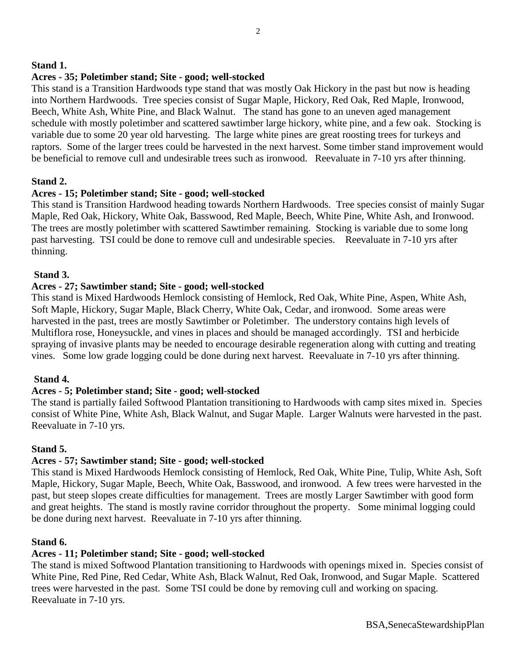## **Stand 1.**

### **Acres - 35; Poletimber stand; Site - good; well-stocked**

This stand is a Transition Hardwoods type stand that was mostly Oak Hickory in the past but now is heading into Northern Hardwoods. Tree species consist of Sugar Maple, Hickory, Red Oak, Red Maple, Ironwood, Beech, White Ash, White Pine, and Black Walnut. The stand has gone to an uneven aged management schedule with mostly poletimber and scattered sawtimber large hickory, white pine, and a few oak. Stocking is variable due to some 20 year old harvesting. The large white pines are great roosting trees for turkeys and raptors. Some of the larger trees could be harvested in the next harvest. Some timber stand improvement would be beneficial to remove cull and undesirable trees such as ironwood. Reevaluate in 7-10 yrs after thinning.

### **Stand 2.**

### **Acres - 15; Poletimber stand; Site - good; well-stocked**

This stand is Transition Hardwood heading towards Northern Hardwoods. Tree species consist of mainly Sugar Maple, Red Oak, Hickory, White Oak, Basswood, Red Maple, Beech, White Pine, White Ash, and Ironwood. The trees are mostly poletimber with scattered Sawtimber remaining. Stocking is variable due to some long past harvesting. TSI could be done to remove cull and undesirable species. Reevaluate in 7-10 yrs after thinning.

### **Stand 3.**

### **Acres - 27; Sawtimber stand; Site - good; well-stocked**

This stand is Mixed Hardwoods Hemlock consisting of Hemlock, Red Oak, White Pine, Aspen, White Ash, Soft Maple, Hickory, Sugar Maple, Black Cherry, White Oak, Cedar, and ironwood. Some areas were harvested in the past, trees are mostly Sawtimber or Poletimber. The understory contains high levels of Multiflora rose, Honeysuckle, and vines in places and should be managed accordingly. TSI and herbicide spraying of invasive plants may be needed to encourage desirable regeneration along with cutting and treating vines. Some low grade logging could be done during next harvest. Reevaluate in 7-10 yrs after thinning.

### **Stand 4.**

## **Acres - 5; Poletimber stand; Site - good; well-stocked**

The stand is partially failed Softwood Plantation transitioning to Hardwoods with camp sites mixed in. Species consist of White Pine, White Ash, Black Walnut, and Sugar Maple. Larger Walnuts were harvested in the past. Reevaluate in 7-10 yrs.

### **Stand 5.**

## **Acres - 57; Sawtimber stand; Site - good; well-stocked**

This stand is Mixed Hardwoods Hemlock consisting of Hemlock, Red Oak, White Pine, Tulip, White Ash, Soft Maple, Hickory, Sugar Maple, Beech, White Oak, Basswood, and ironwood. A few trees were harvested in the past, but steep slopes create difficulties for management. Trees are mostly Larger Sawtimber with good form and great heights. The stand is mostly ravine corridor throughout the property. Some minimal logging could be done during next harvest. Reevaluate in 7-10 yrs after thinning.

### **Stand 6.**

## **Acres - 11; Poletimber stand; Site - good; well-stocked**

The stand is mixed Softwood Plantation transitioning to Hardwoods with openings mixed in. Species consist of White Pine, Red Pine, Red Cedar, White Ash, Black Walnut, Red Oak, Ironwood, and Sugar Maple. Scattered trees were harvested in the past. Some TSI could be done by removing cull and working on spacing. Reevaluate in 7-10 yrs.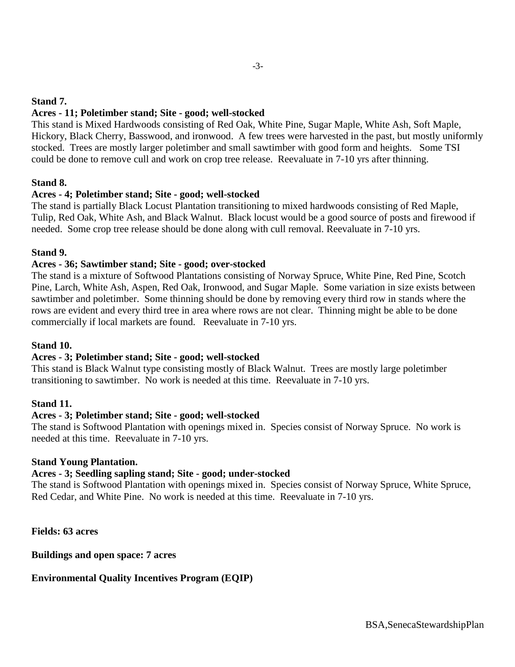### **Stand 7.**

## **Acres - 11; Poletimber stand; Site - good; well-stocked**

This stand is Mixed Hardwoods consisting of Red Oak, White Pine, Sugar Maple, White Ash, Soft Maple, Hickory, Black Cherry, Basswood, and ironwood. A few trees were harvested in the past, but mostly uniformly stocked. Trees are mostly larger poletimber and small sawtimber with good form and heights. Some TSI could be done to remove cull and work on crop tree release. Reevaluate in 7-10 yrs after thinning.

## **Stand 8.**

## **Acres - 4; Poletimber stand; Site - good; well-stocked**

The stand is partially Black Locust Plantation transitioning to mixed hardwoods consisting of Red Maple, Tulip, Red Oak, White Ash, and Black Walnut. Black locust would be a good source of posts and firewood if needed. Some crop tree release should be done along with cull removal. Reevaluate in 7-10 yrs.

### **Stand 9.**

### **Acres - 36; Sawtimber stand; Site - good; over-stocked**

The stand is a mixture of Softwood Plantations consisting of Norway Spruce, White Pine, Red Pine, Scotch Pine, Larch, White Ash, Aspen, Red Oak, Ironwood, and Sugar Maple. Some variation in size exists between sawtimber and poletimber. Some thinning should be done by removing every third row in stands where the rows are evident and every third tree in area where rows are not clear. Thinning might be able to be done commercially if local markets are found. Reevaluate in 7-10 yrs.

### **Stand 10.**

## **Acres - 3; Poletimber stand; Site - good; well-stocked**

This stand is Black Walnut type consisting mostly of Black Walnut. Trees are mostly large poletimber transitioning to sawtimber. No work is needed at this time. Reevaluate in 7-10 yrs.

### **Stand 11.**

### **Acres - 3; Poletimber stand; Site - good; well-stocked**

The stand is Softwood Plantation with openings mixed in. Species consist of Norway Spruce. No work is needed at this time. Reevaluate in 7-10 yrs.

### **Stand Young Plantation.**

### **Acres - 3; Seedling sapling stand; Site - good; under-stocked**

The stand is Softwood Plantation with openings mixed in. Species consist of Norway Spruce, White Spruce, Red Cedar, and White Pine. No work is needed at this time. Reevaluate in 7-10 yrs.

**Fields: 63 acres**

**Buildings and open space: 7 acres**

## **Environmental Quality Incentives Program (EQIP)**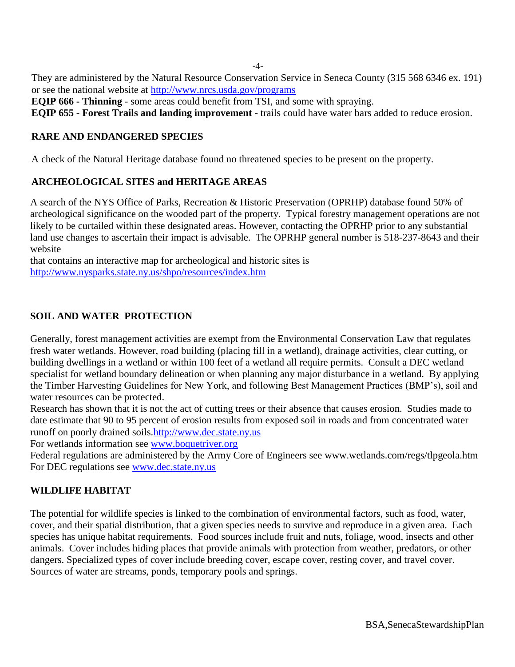-4-

They are administered by the Natural Resource Conservation Service in Seneca County (315 568 6346 ex. 191) or see the national website at<http://www.nrcs.usda.gov/programs>

**EQIP 666 - Thinning** - some areas could benefit from TSI, and some with spraying.

**EQIP 655 - Forest Trails and landing improvement -** trails could have water bars added to reduce erosion.

# **RARE AND ENDANGERED SPECIES**

A check of the Natural Heritage database found no threatened species to be present on the property.

# **ARCHEOLOGICAL SITES and HERITAGE AREAS**

A search of the NYS Office of Parks, Recreation & Historic Preservation (OPRHP) database found 50% of archeological significance on the wooded part of the property. Typical forestry management operations are not likely to be curtailed within these designated areas. However, contacting the OPRHP prior to any substantial land use changes to ascertain their impact is advisable. The OPRHP general number is 518-237-8643 and their website

that contains an interactive map for archeological and historic sites is http://www.nysparks.state.ny.us/shpo/resources/index.htm

# **SOIL AND WATER PROTECTION**

Generally, forest management activities are exempt from the Environmental Conservation Law that regulates fresh water wetlands. However, road building (placing fill in a wetland), drainage activities, clear cutting, or building dwellings in a wetland or within 100 feet of a wetland all require permits. Consult a DEC wetland specialist for wetland boundary delineation or when planning any major disturbance in a wetland. By applying the Timber Harvesting Guidelines for New York, and following Best Management Practices (BMP's), soil and water resources can be protected.

Research has shown that it is not the act of cutting trees or their absence that causes erosion. Studies made to date estimate that 90 to 95 percent of erosion results from exposed soil in roads and from concentrated water runoff on poorly drained soils[.http://www.dec.state.ny.us](http://www.dec.state.ny.us/)

For wetlands information see [www.boquetriver.org](http://www.boquetriver.org/adoptwatershed2)

Federal regulations are administered by the Army Core of Engineers see www.wetlands.com/regs/tlpgeola.htm For DEC regulations see [www.dec.state.ny.us](http://www.dec.state.ny.us/)

# **WILDLIFE HABITAT**

The potential for wildlife species is linked to the combination of environmental factors, such as food, water, cover, and their spatial distribution, that a given species needs to survive and reproduce in a given area. Each species has unique habitat requirements. Food sources include fruit and nuts, foliage, wood, insects and other animals. Cover includes hiding places that provide animals with protection from weather, predators, or other dangers. Specialized types of cover include breeding cover, escape cover, resting cover, and travel cover. Sources of water are streams, ponds, temporary pools and springs.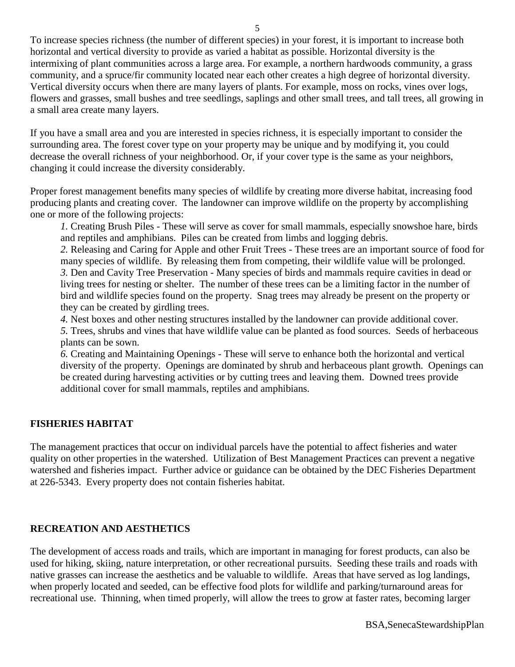To increase species richness (the number of different species) in your forest, it is important to increase both horizontal and vertical diversity to provide as varied a habitat as possible. Horizontal diversity is the intermixing of plant communities across a large area. For example, a northern hardwoods community, a grass community, and a spruce/fir community located near each other creates a high degree of horizontal diversity. Vertical diversity occurs when there are many layers of plants. For example, moss on rocks, vines over logs, flowers and grasses, small bushes and tree seedlings, saplings and other small trees, and tall trees, all growing in a small area create many layers.

If you have a small area and you are interested in species richness, it is especially important to consider the surrounding area. The forest cover type on your property may be unique and by modifying it, you could decrease the overall richness of your neighborhood. Or, if your cover type is the same as your neighbors, changing it could increase the diversity considerably.

Proper forest management benefits many species of wildlife by creating more diverse habitat, increasing food producing plants and creating cover. The landowner can improve wildlife on the property by accomplishing one or more of the following projects:

*1.* Creating Brush Piles - These will serve as cover for small mammals, especially snowshoe hare, birds and reptiles and amphibians. Piles can be created from limbs and logging debris.

*2.* Releasing and Caring for Apple and other Fruit Trees - These trees are an important source of food for many species of wildlife. By releasing them from competing, their wildlife value will be prolonged. *3.* Den and Cavity Tree Preservation - Many species of birds and mammals require cavities in dead or living trees for nesting or shelter. The number of these trees can be a limiting factor in the number of bird and wildlife species found on the property. Snag trees may already be present on the property or they can be created by girdling trees.

*4.* Nest boxes and other nesting structures installed by the landowner can provide additional cover.

*5.* Trees, shrubs and vines that have wildlife value can be planted as food sources. Seeds of herbaceous plants can be sown.

*6.* Creating and Maintaining Openings - These will serve to enhance both the horizontal and vertical diversity of the property. Openings are dominated by shrub and herbaceous plant growth. Openings can be created during harvesting activities or by cutting trees and leaving them. Downed trees provide additional cover for small mammals, reptiles and amphibians.

# **FISHERIES HABITAT**

The management practices that occur on individual parcels have the potential to affect fisheries and water quality on other properties in the watershed. Utilization of Best Management Practices can prevent a negative watershed and fisheries impact. Further advice or guidance can be obtained by the DEC Fisheries Department at 226-5343. Every property does not contain fisheries habitat.

# **RECREATION AND AESTHETICS**

The development of access roads and trails, which are important in managing for forest products, can also be used for hiking, skiing, nature interpretation, or other recreational pursuits. Seeding these trails and roads with native grasses can increase the aesthetics and be valuable to wildlife. Areas that have served as log landings, when properly located and seeded, can be effective food plots for wildlife and parking/turnaround areas for recreational use. Thinning, when timed properly, will allow the trees to grow at faster rates, becoming larger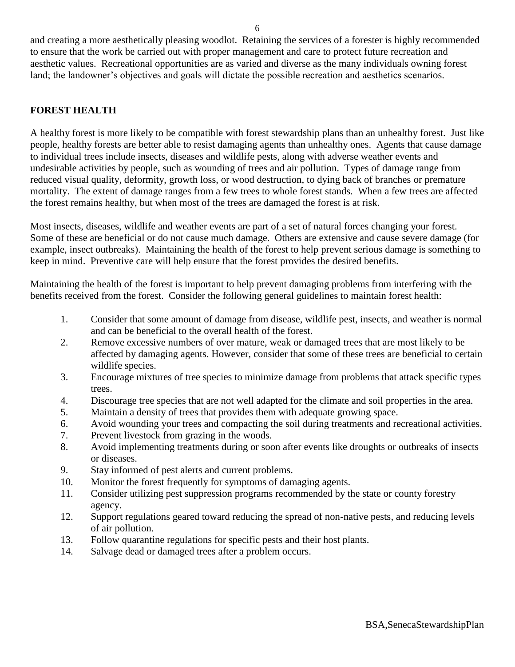and creating a more aesthetically pleasing woodlot. Retaining the services of a forester is highly recommended to ensure that the work be carried out with proper management and care to protect future recreation and aesthetic values. Recreational opportunities are as varied and diverse as the many individuals owning forest land; the landowner's objectives and goals will dictate the possible recreation and aesthetics scenarios.

## **FOREST HEALTH**

A healthy forest is more likely to be compatible with forest stewardship plans than an unhealthy forest. Just like people, healthy forests are better able to resist damaging agents than unhealthy ones. Agents that cause damage to individual trees include insects, diseases and wildlife pests, along with adverse weather events and undesirable activities by people, such as wounding of trees and air pollution. Types of damage range from reduced visual quality, deformity, growth loss, or wood destruction, to dying back of branches or premature mortality. The extent of damage ranges from a few trees to whole forest stands. When a few trees are affected the forest remains healthy, but when most of the trees are damaged the forest is at risk.

Most insects, diseases, wildlife and weather events are part of a set of natural forces changing your forest. Some of these are beneficial or do not cause much damage. Others are extensive and cause severe damage (for example, insect outbreaks). Maintaining the health of the forest to help prevent serious damage is something to keep in mind. Preventive care will help ensure that the forest provides the desired benefits.

Maintaining the health of the forest is important to help prevent damaging problems from interfering with the benefits received from the forest. Consider the following general guidelines to maintain forest health:

- 1. Consider that some amount of damage from disease, wildlife pest, insects, and weather is normal and can be beneficial to the overall health of the forest.
- 2. Remove excessive numbers of over mature, weak or damaged trees that are most likely to be affected by damaging agents. However, consider that some of these trees are beneficial to certain wildlife species.
- 3. Encourage mixtures of tree species to minimize damage from problems that attack specific types trees.
- 4. Discourage tree species that are not well adapted for the climate and soil properties in the area.
- 5. Maintain a density of trees that provides them with adequate growing space.
- 6. Avoid wounding your trees and compacting the soil during treatments and recreational activities.
- 7. Prevent livestock from grazing in the woods.
- 8. Avoid implementing treatments during or soon after events like droughts or outbreaks of insects or diseases.
- 9. Stay informed of pest alerts and current problems.
- 10. Monitor the forest frequently for symptoms of damaging agents.
- 11. Consider utilizing pest suppression programs recommended by the state or county forestry agency.
- 12. Support regulations geared toward reducing the spread of non-native pests, and reducing levels of air pollution.
- 13. Follow quarantine regulations for specific pests and their host plants.
- 14. Salvage dead or damaged trees after a problem occurs.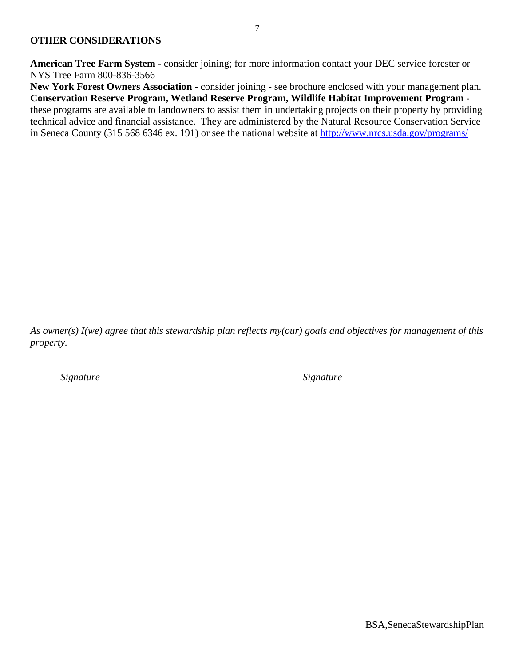**American Tree Farm System -** consider joining; for more information contact your DEC service forester or NYS Tree Farm 800-836-3566

**New York Forest Owners Association -** consider joining - see brochure enclosed with your management plan. **Conservation Reserve Program, Wetland Reserve Program, Wildlife Habitat Improvement Program** these programs are available to landowners to assist them in undertaking projects on their property by providing technical advice and financial assistance. They are administered by the Natural Resource Conservation Service in Seneca County (315 568 6346 ex. 191) or see the national website at<http://www.nrcs.usda.gov/programs/>

*As owner(s) I(we) agree that this stewardship plan reflects my(our) goals and objectives for management of this property.*

*Signature Signature*